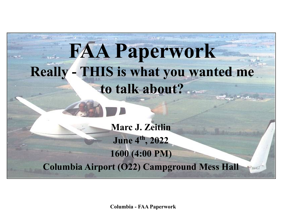## **FAA Paperwork Really - THIS is what you wanted me to talk about?**

**Marc J. Zeitlin June 4th, 2022 1600 (4:00 PM) Columbia Airport (O22) Campground Mess Hall**

**Columbia - FAA Paperwork**

Waacz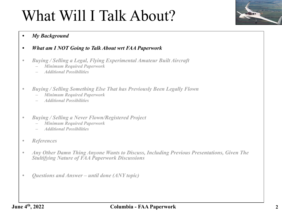

- *• What am I NOT Going to Talk About wrt FAA Paperwork*
- *• Buying / Selling a Legal, Flying Experimental Amateur Built Aircraft*
	- *– Minimum Required Paperwork*
	- *– Additional Possibilities*
- *• Buying / Selling Something Else That has Previously Been Legally Flown*
	- *– Minimum Required Paperwork*
	- *– Additional Possibilities*
- *• Buying / Selling a Never Flown/Registered Project*
	- *– Minimum Required Paperwork*
	- *– Additional Possibilities*
- *• References*
- *• Any Other Damn Thing Anyone Wants to Discuss, Including Previous Presentations, Given The Stultifying Nature of FAA Paperwork Discussions*
- *• Questions and Answer until done (ANY topic)*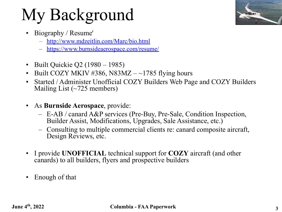- Biography / Resume'
	- <http://www.mdzeitlin.com/Marc/bio.html>
	- <https://www.burnsideaerospace.com/resume/>
- Built Quickie Q2 (1980 1985)
- Built COZY MKIV #386, N83MZ  $-$  ~1785 flying hours
- Started / Administer Unofficial COZY Builders Web Page and COZY Builders Mailing List (~725 members)
- As **Burnside Aerospace**, provide:
	- E-AB / canard A&P services (Pre-Buy, Pre-Sale, Condition Inspection, Builder Assist, Modifications, Upgrades, Sale Assistance, etc.)
	- Consulting to multiple commercial clients re: canard composite aircraft, Design Reviews, etc.
- I provide **UNOFFICIAL** technical support for **COZY** aircraft (and other canards) to all builders, flyers and prospective builders
- Enough of that

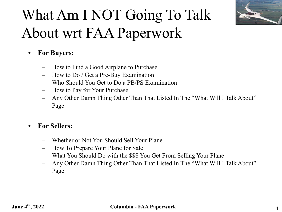

## What Am I NOT Going To Talk About wrt FAA Paperwork

- **• For Buyers:**
	- How to Find a Good Airplane to Purchase
	- How to Do / Get a Pre-Buy Examination
	- Who Should You Get to Do a PB/PS Examination
	- How to Pay for Your Purchase
	- Any Other Damn Thing Other Than That Listed In The "What Will I Talk About" Page

### **• For Sellers:**

- Whether or Not You Should Sell Your Plane
- How To Prepare Your Plane for Sale
- What You Should Do with the \$\$\$ You Get From Selling Your Plane
- Any Other Damn Thing Other Than That Listed In The "What Will I Talk About" Page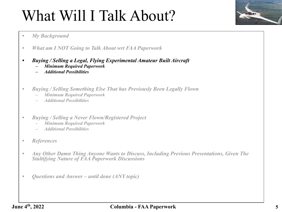

- *• What am I NOT Going to Talk About wrt FAA Paperwork*
- *• Buying / Selling a Legal, Flying Experimental Amateur Built Aircraft*
	- *– Minimum Required Paperwork*
	- *– Additional Possibilities*
- *• Buying / Selling Something Else That has Previously Been Legally Flown*
	- *– Minimum Required Paperwork*
	- *– Additional Possibilities*
- *• Buying / Selling a Never Flown/Registered Project*
	- *– Minimum Required Paperwork*
	- *– Additional Possibilities*
- *• References*
- *• Any Other Damn Thing Anyone Wants to Discuss, Including Previous Presentations, Given The Stultifying Nature of FAA Paperwork Discussions*
- *• Questions and Answer until done (ANY topic)*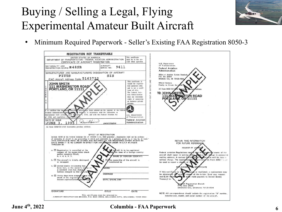- 
- Minimum Required Paperwork Seller's Existing FAA Registration 8050-3



**June 4th, 2022 Columbia - FAA Paperwork**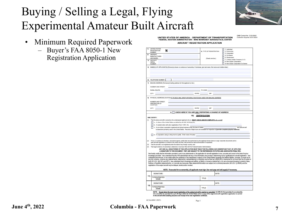

OMB Control No. 2120-0042

Collection Expires 03/31/2024

- Minimum Required Paperwork
	- Buyer's FAA 8050-1 New Registration Application

#### UNITED STATES OF AMERICA - DEPARTMENT OF TRANSPORTATION FEDERAL AVIATION ADMINISTRATION - MIKE MONRONEY AERONAUTICAL CENTER AIRCRAFT REGISTRATION APPLICATION

| 11         | <b>UNITED STATES</b><br>N<br>REGISTRATION<br><b>NUMBER</b>                                                                                                                                                                                                                                                                                                                                                                                | 4) TYPE OF REGISTRATION                                                                                   | 1. Individual<br>2. Partnership<br>3. Corporation                                                                                                                                                                                                                                                                                                                                                                                                                                                                                                                                                                                                                                                                                |  |  |  |
|------------|-------------------------------------------------------------------------------------------------------------------------------------------------------------------------------------------------------------------------------------------------------------------------------------------------------------------------------------------------------------------------------------------------------------------------------------------|-----------------------------------------------------------------------------------------------------------|----------------------------------------------------------------------------------------------------------------------------------------------------------------------------------------------------------------------------------------------------------------------------------------------------------------------------------------------------------------------------------------------------------------------------------------------------------------------------------------------------------------------------------------------------------------------------------------------------------------------------------------------------------------------------------------------------------------------------------|--|--|--|
| 21         | <b>AIRCRAFT</b><br>MANUFACTURER<br>AND MODEL                                                                                                                                                                                                                                                                                                                                                                                              | (Check one box.)                                                                                          | 4. Co-Owner<br>5. Government<br>7. Limited Liability Company (LLC)                                                                                                                                                                                                                                                                                                                                                                                                                                                                                                                                                                                                                                                               |  |  |  |
|            | 3) AIRCRAFT<br><b>SERIAL</b><br><b>NUMBER</b>                                                                                                                                                                                                                                                                                                                                                                                             |                                                                                                           | B. Non-Citizen Corporation<br>9. Non-Citizen Corporation Co-Owner                                                                                                                                                                                                                                                                                                                                                                                                                                                                                                                                                                                                                                                                |  |  |  |
|            | NAME(S) OF APPLICANT(S) [Person(s) shown on evidence of ownership. If individual, give last name, first name and middle initial.]                                                                                                                                                                                                                                                                                                         |                                                                                                           |                                                                                                                                                                                                                                                                                                                                                                                                                                                                                                                                                                                                                                                                                                                                  |  |  |  |
|            | 6) TELEPHONE NUMBER: (                                                                                                                                                                                                                                                                                                                                                                                                                    |                                                                                                           |                                                                                                                                                                                                                                                                                                                                                                                                                                                                                                                                                                                                                                                                                                                                  |  |  |  |
| n          | MAILING ADDRESS (Permanent mailing address for first applicant on list.)<br>NUMBER AND STREET:                                                                                                                                                                                                                                                                                                                                            |                                                                                                           |                                                                                                                                                                                                                                                                                                                                                                                                                                                                                                                                                                                                                                                                                                                                  |  |  |  |
|            | RURAL ROUTE:                                                                                                                                                                                                                                                                                                                                                                                                                              |                                                                                                           | <b>P.O. BOX</b>                                                                                                                                                                                                                                                                                                                                                                                                                                                                                                                                                                                                                                                                                                                  |  |  |  |
|            | CITY:                                                                                                                                                                                                                                                                                                                                                                                                                                     | STATE: ZIP: 21P:                                                                                          |                                                                                                                                                                                                                                                                                                                                                                                                                                                                                                                                                                                                                                                                                                                                  |  |  |  |
| g)         | PHYSICAL ADDRESS/LOCATION IF PO BOX, MAIL DROP OR RURAL ROUTE BOX USED FOR MAILING ADDRESS                                                                                                                                                                                                                                                                                                                                                |                                                                                                           |                                                                                                                                                                                                                                                                                                                                                                                                                                                                                                                                                                                                                                                                                                                                  |  |  |  |
|            | NUMBER AND STREET:<br>DESCRIPTION OF<br>LOCATION:                                                                                                                                                                                                                                                                                                                                                                                         |                                                                                                           |                                                                                                                                                                                                                                                                                                                                                                                                                                                                                                                                                                                                                                                                                                                                  |  |  |  |
|            | CITY:                                                                                                                                                                                                                                                                                                                                                                                                                                     | STATE: ZIP:                                                                                               |                                                                                                                                                                                                                                                                                                                                                                                                                                                                                                                                                                                                                                                                                                                                  |  |  |  |
|            | 9)                                                                                                                                                                                                                                                                                                                                                                                                                                        | CHECK HERE IF YOU ARE ONLY REPORTING A CHANGE OF ADDRESS                                                  |                                                                                                                                                                                                                                                                                                                                                                                                                                                                                                                                                                                                                                                                                                                                  |  |  |  |
|            | c. A non-citizen corporation organized and doing business under the laws of (state)<br>and said aircraft<br>is based and primarily used in the United States. Records of flight hours are available for inspection at (provide complete physical address)                                                                                                                                                                                 |                                                                                                           |                                                                                                                                                                                                                                                                                                                                                                                                                                                                                                                                                                                                                                                                                                                                  |  |  |  |
|            | d. A corporation using a voting trust to qualify. Enter name of trustee                                                                                                                                                                                                                                                                                                                                                                   |                                                                                                           |                                                                                                                                                                                                                                                                                                                                                                                                                                                                                                                                                                                                                                                                                                                                  |  |  |  |
| (2)<br>(3) | If box c or d above is checked, I, the below signed, certify that I am authorized, by the applicant shown above, to sign corporate documents and to<br>seek aircraft registration on behalf of the entity and that I will provide the same authorization if requested;<br>That the aircraft is not registered under the laws of any foreign country; and                                                                                  |                                                                                                           |                                                                                                                                                                                                                                                                                                                                                                                                                                                                                                                                                                                                                                                                                                                                  |  |  |  |
| (4)        | That legal evidence of ownership is attached or has been filed with the Federal Aviation Administration.<br>ANY AND ALL SIGNATORIES OF THIS APPLICATION MUST READ THE FOLLOWING AND UNDERSTAND THAT, BY APPLYING<br>A SIGNATURE TO THIS DOCUMENT. THEY ARE SUBJECT TO THE REFERENCED STATUTES AND ASSOCIATED PENALTIES.                                                                                                                   |                                                                                                           |                                                                                                                                                                                                                                                                                                                                                                                                                                                                                                                                                                                                                                                                                                                                  |  |  |  |
|            | I/we hereby certify that the information provided in, and in any attachments to, this application for aircraft registration is true, accurate and correct to the best of my/our<br>fictitious or fraudulent statement/entry; or c) provide any inaccurate, false statement/information can subject me to criminal prosecution (49 U.S.C. § 46306), and the<br>registration of the subject aircraft may be delayed, denied and/or revoked. |                                                                                                           | knowledge and belief. I/we understand that the FAA administrator will rely on the information I/we provide in determining my/our qualification for aircraft registration. I/we<br>understand that whoever, in any matter within the jurisdiction of any department or agency of the United States, knowingly and willfully falsifies, conceals, or covers up by<br>any trick, scheme, or device any material fact(s), statement(s), representation(s) or entry(ies) may be fined up to \$500,000 or imprisoned for not more than five (5) years or<br>both (18 U.S.C. §§ 1001 and 3571). Uwe understand that to knowingly and witfully: a) faisify or conceal a material fact; or b) use a document knowing it contains a false, |  |  |  |
|            |                                                                                                                                                                                                                                                                                                                                                                                                                                           | NOTE: If executed for co-ownership, all applicants must sign. Use next page and add page(s) if necessary. |                                                                                                                                                                                                                                                                                                                                                                                                                                                                                                                                                                                                                                                                                                                                  |  |  |  |
|            |                                                                                                                                                                                                                                                                                                                                                                                                                                           |                                                                                                           | DATE:                                                                                                                                                                                                                                                                                                                                                                                                                                                                                                                                                                                                                                                                                                                            |  |  |  |
| 11)        | SIGNATURE:<br>TYPED/PRINTED                                                                                                                                                                                                                                                                                                                                                                                                               | TITLE:                                                                                                    |                                                                                                                                                                                                                                                                                                                                                                                                                                                                                                                                                                                                                                                                                                                                  |  |  |  |
| 12)        | NAME:<br>SIGNATURE:                                                                                                                                                                                                                                                                                                                                                                                                                       |                                                                                                           | DATE:                                                                                                                                                                                                                                                                                                                                                                                                                                                                                                                                                                                                                                                                                                                            |  |  |  |

U.S. aircraft to be operated for up to 90 days within the United States when a copy of the signed aircraft registration application is carried in the aircraft while awaiting issuance and receipt of the new registration certifica Page 1

AC Form 8050-1 (04/21)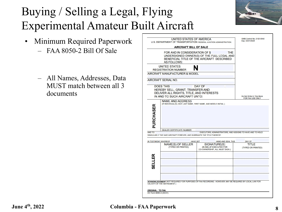

- Minimum Required Paperwork – FAA 8050-2 Bill Of Sale
	- All Names, Addresses, Data MUST match between all 3 documents

|                      | <b>AIRCRAFT BILL OF SALE</b><br>FOR AND IN CONSIDERATION OF \$<br><b>AS FOLLOWS:</b><br><b>UNITED STATES</b><br><b>REGISTRATION NUMBER</b> | THE<br>UNDERSIGNED OWNER(S) OF THE FULL LEGAL AND<br>BENEFICIAL TITLE OF THE AIRCRAFT DESCRIBED         |                                                |
|----------------------|--------------------------------------------------------------------------------------------------------------------------------------------|---------------------------------------------------------------------------------------------------------|------------------------------------------------|
|                      |                                                                                                                                            |                                                                                                         |                                                |
|                      |                                                                                                                                            |                                                                                                         |                                                |
|                      |                                                                                                                                            |                                                                                                         |                                                |
|                      | <b>AIRCRAFT MANUFACTURER &amp; MODEL</b>                                                                                                   |                                                                                                         |                                                |
| AIRCRAFT SERIAL NO.  |                                                                                                                                            |                                                                                                         |                                                |
| <b>DOES THIS</b>     | HEREBY SELL, GRANT, TRANSFER AND<br>DELIVER ALL RIGHTS, TITLE, AND INTERESTS<br>IN AND TO SUCH AIRCRAFT UNTO:                              | <b>DAY OF</b>                                                                                           | Do Not Write In This Block<br>FOR FAA USE ONLY |
| PURCHASER<br>AND TO  | <b>DEALER CERTIFICATE NUMBER</b><br>SINGULARLY THE SAID AIRCRAFT FOREVER, AND WARRANTS THE TITLE THEREOF:                                  | EXECUTORS, ADMINISTRATORS, AND ASSIGNS TO HAVE AND TO HOLD                                              |                                                |
|                      |                                                                                                                                            |                                                                                                         |                                                |
| IN TESTIMONY WHEREOF | <b>HAVE SET</b><br>NAME(S) OF SELLER<br>(TYPED OR PRINTED)                                                                                 | <b>HAND AND SEAL THIS</b><br>SIGNATURE(S)<br>(IN INK) (IF EXECUTED FOR<br>CO-OWNERSHIP, ALL MUST SIGN.) | DAY OF<br>TITLE<br>(TYPED OR PRINTED)          |
| SELLER               |                                                                                                                                            |                                                                                                         |                                                |
|                      |                                                                                                                                            |                                                                                                         |                                                |

#### **June 4th, 2022 Columbia - FAA Paperwork**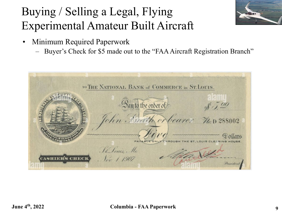

- Minimum Required Paperwork
	- Buyer's Check for \$5 made out to the "FAA Aircraft Registration Branch"

| TO THE NATIONAL BANK of COMMERCE in ST. LOUIS.           |                                      |
|----------------------------------------------------------|--------------------------------------|
|                                                          |                                      |
| au to the order of<br>John Danith or bearer The D 288002 |                                      |
|                                                          |                                      |
| St. Louis, Ma                                            | HROUGH THE ST, LOUIS CLEARING HOUSE. |
| $V_{ov}$ / 1.907                                         | President                            |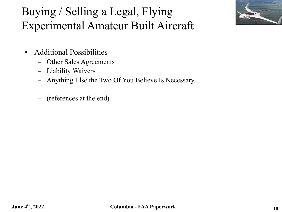

- Additional Possibilities
	- Other Sales Agreements
	- Liability Waivers
	- Anything Else the Two Of You Believe Is Necessary
	- (references at the end)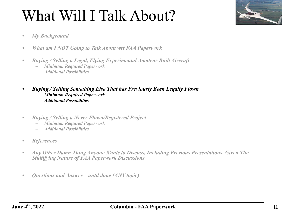

- *• What am I NOT Going to Talk About wrt FAA Paperwork*
- *• Buying / Selling a Legal, Flying Experimental Amateur Built Aircraft*
	- *– Minimum Required Paperwork*
	- *– Additional Possibilities*
- *• Buying / Selling Something Else That has Previously Been Legally Flown*
	- *– Minimum Required Paperwork*
	- *– Additional Possibilities*
- *• Buying / Selling a Never Flown/Registered Project*
	- *– Minimum Required Paperwork*
	- *– Additional Possibilities*
- *• References*
- *• Any Other Damn Thing Anyone Wants to Discuss, Including Previous Presentations, Given The Stultifying Nature of FAA Paperwork Discussions*
- *• Questions and Answer until done (ANY topic)*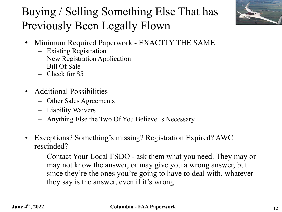

### Buying / Selling Something Else That has Previously Been Legally Flown

- Minimum Required Paperwork EXACTLY THE SAME
	- Existing Registration
	- New Registration Application
	- Bill Of Sale
	- Check for \$5
- Additional Possibilities
	- Other Sales Agreements
	- Liability Waivers
	- Anything Else the Two Of You Believe Is Necessary
- Exceptions? Something's missing? Registration Expired? AWC rescinded?
	- Contact Your Local FSDO ask them what you need. They may or may not know the answer, or may give you a wrong answer, but since they're the ones you're going to have to deal with, whatever they say is the answer, even if it's wrong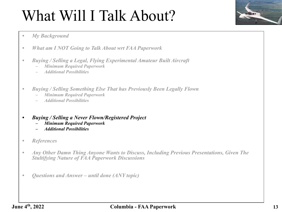

- *• What am I NOT Going to Talk About wrt FAA Paperwork*
- *• Buying / Selling a Legal, Flying Experimental Amateur Built Aircraft*
	- *– Minimum Required Paperwork*
	- *– Additional Possibilities*
- *• Buying / Selling Something Else That has Previously Been Legally Flown*
	- *– Minimum Required Paperwork*
	- *– Additional Possibilities*
- *• Buying / Selling a Never Flown/Registered Project*
	- *– Minimum Required Paperwork*
	- *– Additional Possibilities*
- *• References*
- *• Any Other Damn Thing Anyone Wants to Discuss, Including Previous Presentations, Given The Stultifying Nature of FAA Paperwork Discussions*
- *• Questions and Answer until done (ANY topic)*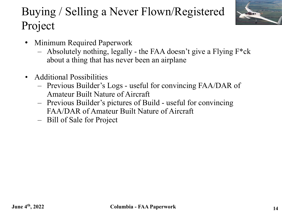## Buying / Selling a Never Flown/Registered Project



- Minimum Required Paperwork
	- Absolutely nothing, legally the FAA doesn't give a Flying  $F^*ck$ about a thing that has never been an airplane
- Additional Possibilities
	- Previous Builder's Logs useful for convincing FAA/DAR of Amateur Built Nature of Aircraft
	- Previous Builder's pictures of Build useful for convincing FAA/DAR of Amateur Built Nature of Aircraft
	- Bill of Sale for Project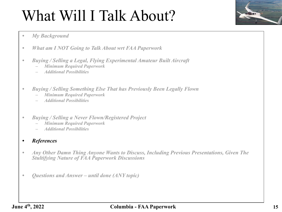

#### *• My Background*

- *• What am I NOT Going to Talk About wrt FAA Paperwork*
- *• Buying / Selling a Legal, Flying Experimental Amateur Built Aircraft*
	- *– Minimum Required Paperwork*
	- *– Additional Possibilities*
- *• Buying / Selling Something Else That has Previously Been Legally Flown*
	- *– Minimum Required Paperwork*
	- *– Additional Possibilities*
- *• Buying / Selling a Never Flown/Registered Project*
	- *– Minimum Required Paperwork*
	- *– Additional Possibilities*

### *• References*

- *• Any Other Damn Thing Anyone Wants to Discuss, Including Previous Presentations, Given The Stultifying Nature of FAA Paperwork Discussions*
- *• Questions and Answer until done (ANY topic)*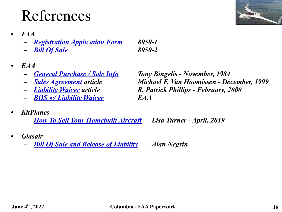## References

- *• FAA*
	- *– [Registration Application Form](https://www.faa.gov/documentLibrary/media/Form/AC8050-1.pdf) 8050-1*
	- *– [Bill Of Sale](https://www.faa.gov/documentLibrary/media/Form/ac8050-2.pdf) 8050-2*
- *• EAA* 
	-
	-
	-
	- *– [BOS w/ Liability Waiver](https://www.eaa.org/eaa/aircraft-building/builderresources/next-steps-after-your-airplane-is-built/~/media/11f94bd8377e437d84c03ccf1094cd99.ashx) EAA*
- *• KitPlanes*
	- *– [How To Sell Your Homebuilt Aircraft](https://www.kitplanes.com/how-to-sell-your-homebuilt-aircraft/) Lisa Turner April, 2019*
- *• Glasair*
	- *– [Bill Of Sale and Release of Liability](https://www.glasairtraining.com/resources/useful-docs/experimental-aircraft-bill-of-sale/) Alan Negrin*

*– [General Purchase / Sale Info](https://www.eaa.org/eaa/aircraft-building/builderresources/next-steps-after-your-airplane-is-built/selling-and-buying-articles/when-you-buy-or-sell-a-homebuilt) Tony Bingelis - November, 1984 – [Sales Agreement](https://www.eaa.org/eaa/aircraft-building/builderresources/next-steps-after-your-airplane-is-built/selling-and-buying-articles/part-2-sale-agreement-buying-and-selling-a-homebuilt) article Michael F. Van Hoomissen - December, 1999 – [Liability Waiver](https://www.eaa.org/eaa/aircraft-building/builderresources/next-steps-after-your-airplane-is-built/selling-and-buying-articles/part-3-waiver-and-releases-buying-and-selling-a-homebuilt) article R. Patrick Phillips - February, 2000*